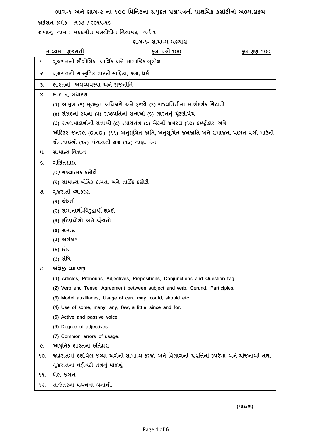# **ભાગ-૧ અનેભાગ-૨ ના ૧૦૦ મિમનટના સયં ક્ુત પ્રશ્નપત્રની પ્રાથમિક કસોટીનો અભ્યાસક્રિ**

**જાહેરાત ક્રિાંક :૧૩૭ / ૨૦૧૫-૧૬**

**જગ્યાન ું નાિ :- િદદનીશ િત્સ્યોધોગ મનયાિક, વગગ-૧**

**ભાગ-૧- સાિાન્ય અભ્યાસ**

|                 | $\sim$                                                                                       |
|-----------------|----------------------------------------------------------------------------------------------|
|                 | માધ્યમઃ- ગુજરાતી<br>કુલ પ્રશ્નો-૧૦૦<br><u>કુલ ગુણ:-૧૦૦</u>                                   |
| ٩.              | ગુજરાતની ભૌગોલિક, આર્થિક અને સામાજિક ભૂગોળ                                                   |
| ₹.              | ગુજરાતનો સાંસ્કૃતિક વારસો-સાહિત્ય, કલા, ધર્મ                                                 |
| 3.              | ભારતની અર્થવ્યવસ્થા અને રાજનીતિ                                                              |
| γ.              | ભારતનું બંધારણ:                                                                              |
|                 | (૧) આમુખ (૨) મૂળભૂત અધિકારો અને ફરજો (૩) રાજ્યનિતીના માર્ગદર્શક સિદ્ધાંતો                    |
|                 | (૪) સંસદની રચના (૫) રાષ્ટ્રપતિની સત્તાઓ (૬) ભારતનું યુંટણીપંચ                                |
|                 | (૭) રાજ્યપાલશ્રીની સત્તાઓ (૮) ન્યાયતંત્ર (૯) એટર્ની જનરલ (૧૦) કમ્પ્ટ્રોલર અને                |
|                 | ઓડિટર જનરલ (C.A.G.) (૧૧) અનુસૂચિત જાતિ, અનુસૂચિત જનજાતિ અને સમાજના પછાત વર્ગો માટેની         |
|                 | જોગવાઇઓ (૧૨) પંચાયતી રાજ (૧૩) નાણા પંચ                                                       |
| ૫.              | સામાન્ય વિજ્ઞાન                                                                              |
| S.              | ગણિતશાસ્ર                                                                                    |
|                 | $(1)$ સંખ્યાત્મક કસોટી                                                                       |
|                 | (૨) સામાન્ય બૌદ્ધિક ક્ષમતા અને તાર્કિક કસોટી                                                 |
| ა.              | ગુજરાતી વ્યાકરણ                                                                              |
|                 | (૧) જોડણી                                                                                    |
|                 | (૨) સમાનાર્થી-વિરુદ્ધાર્થી શબ્દો                                                             |
|                 | (3) રૂઢિપ્રયોગો અને કહેવતો                                                                   |
|                 | (४) સમાસ                                                                                     |
|                 | (૫) અલંકાર                                                                                   |
|                 | (૬) છેદ                                                                                      |
|                 | (૭) સંધિ                                                                                     |
| $\mathcal{L}$ . | અંગ્રેજી વ્યાકરણ                                                                             |
|                 | (9) Articles, Pronouns, Adjectives, Prepositions, Conjunctions and Question tag.             |
|                 | (2) Verb and Tense, Agreement between subject and verb, Gerund, Participles.                 |
|                 | (3) Model auxiliaries, Usage of can, may, could, should etc.                                 |
|                 | (4) Use of some, many, any, few, a little, since and for.                                    |
|                 | (5) Active and passive voice.                                                                |
|                 | (6) Degree of adjectives.                                                                    |
|                 | (7) Common errors of usage.                                                                  |
| e.              | આધુનિક ભારતનો ઇતિહ્નસ                                                                        |
| ٩Ο.             | જાહેરાતમાં દર્શાવેલ જગ્યા અંગેની સામાન્ય ફરજો અને વિભાગની પ્રવૃત્તિની રૂપરેખા અને યોજનાઓ તથા |
|                 | ગુજરાતના વહીવટી તંત્રનું માળખું                                                              |
| ٩٩.             | ખેલ જગત                                                                                      |
| ૧૨.             | તાજેતરનાં મહ્ત્વના બનાવો.                                                                    |

**(પાછળ)**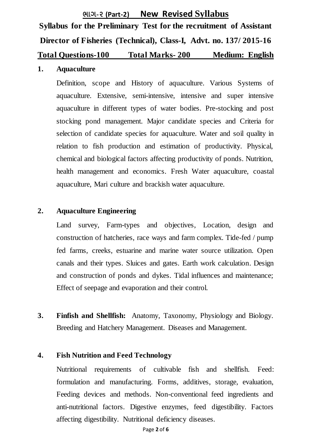# **ભાગ-૨ (Part-2) New Revised Syllabus Syllabus for the Preliminary Test for the recruitment of Assistant Director of Fisheries (Technical), Class-I, Advt. no. 137/ 2015-16 Total Questions-100 Total Marks- 200 Medium: English**

# **1. Aquaculture**

Definition, scope and History of aquaculture. Various Systems of aquaculture. Extensive, semi-intensive, intensive and super intensive aquaculture in different types of water bodies. Pre-stocking and post stocking pond management. Major candidate species and Criteria for selection of candidate species for aquaculture. Water and soil quality in relation to fish production and estimation of productivity. Physical, chemical and biological factors affecting productivity of ponds. Nutrition, health management and economics. Fresh Water aquaculture, coastal aquaculture, Mari culture and brackish water aquaculture.

# **2. Aquaculture Engineering**

Land survey, Farm-types and objectives, Location, design and construction of hatcheries, race ways and farm complex. Tide-fed / pump fed farms, creeks, estuarine and marine water source utilization. Open canals and their types. Sluices and gates. Earth work calculation. Design and construction of ponds and dykes. Tidal influences and maintenance; Effect of seepage and evaporation and their control.

**3. Finfish and Shellfish:** Anatomy, Taxonomy, Physiology and Biology. Breeding and Hatchery Management. Diseases and Management.

# **4. Fish Nutrition and Feed Technology**

Nutritional requirements of cultivable fish and shellfish. Feed: formulation and manufacturing. Forms, additives, storage, evaluation, Feeding devices and methods. Non-conventional feed ingredients and anti-nutritional factors. Digestive enzymes, feed digestibility. Factors affecting digestibility. Nutritional deficiency diseases.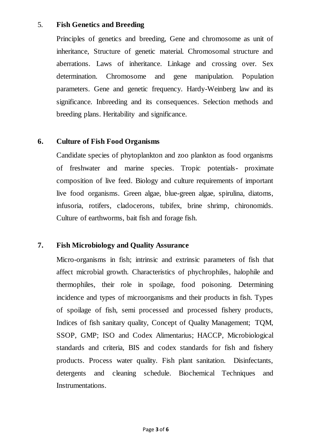#### 5. **Fish Genetics and Breeding**

Principles of genetics and breeding, Gene and chromosome as unit of inheritance, Structure of genetic material. Chromosomal structure and aberrations. Laws of inheritance. Linkage and crossing over. Sex determination. Chromosome and gene manipulation. Population parameters. Gene and genetic frequency. Hardy-Weinberg law and its significance. Inbreeding and its consequences. Selection methods and breeding plans. Heritability and significance.

#### **6. Culture of Fish Food Organisms**

Candidate species of phytoplankton and zoo plankton as food organisms of freshwater and marine species. Tropic potentials- proximate composition of live feed. Biology and culture requirements of important live food organisms. Green algae, blue-green algae, spirulina, diatoms, infusoria, rotifers, cladocerons, tubifex, brine shrimp, chironomids. Culture of earthworms, bait fish and forage fish.

# **7. Fish Microbiology and Quality Assurance**

Micro-organisms in fish; intrinsic and extrinsic parameters of fish that affect microbial growth. Characteristics of phychrophiles, halophile and thermophiles, their role in spoilage, food poisoning. Determining incidence and types of microorganisms and their products in fish. Types of spoilage of fish, semi processed and processed fishery products, Indices of fish sanitary quality, Concept of Quality Management; TQM, SSOP, GMP; ISO and Codex Alimentarius; HACCP, Microbiological standards and criteria, BIS and codex standards for fish and fishery products. Process water quality. Fish plant sanitation. Disinfectants, detergents and cleaning schedule. Biochemical Techniques and Instrumentations.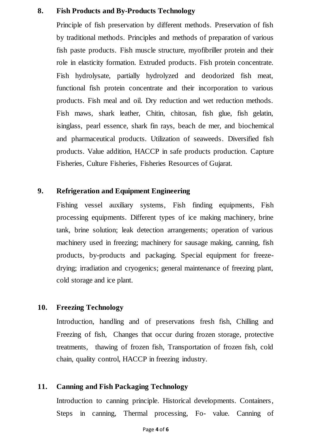#### **8. Fish Products and By-Products Technology**

Principle of fish preservation by different methods. Preservation of fish by traditional methods. Principles and methods of preparation of various fish paste products. Fish muscle structure, myofibriller protein and their role in elasticity formation. Extruded products. Fish protein concentrate. Fish hydrolysate, partially hydrolyzed and deodorized fish meat, functional fish protein concentrate and their incorporation to various products. Fish meal and oil. Dry reduction and wet reduction methods. Fish maws, shark leather, Chitin, chitosan, fish glue, fish gelatin, isinglass, pearl essence, shark fin rays, beach de mer, and biochemical and pharmaceutical products. Utilization of seaweeds. Diversified fish products. Value addition, HACCP in safe products production. Capture Fisheries, Culture Fisheries, Fisheries Resources of Gujarat.

# **9. Refrigeration and Equipment Engineering**

Fishing vessel auxiliary systems, Fish finding equipments, Fish processing equipments. Different types of ice making machinery, brine tank, brine solution; leak detection arrangements; operation of various machinery used in freezing; machinery for sausage making, canning, fish products, by-products and packaging. Special equipment for freezedrying; irradiation and cryogenics; general maintenance of freezing plant, cold storage and ice plant.

# **10. Freezing Technology**

Introduction, handling and of preservations fresh fish, Chilling and Freezing of fish, Changes that occur during frozen storage, protective treatments, thawing of frozen fish, Transportation of frozen fish, cold chain, quality control, HACCP in freezing industry.

# **11. Canning and Fish Packaging Technology**

Introduction to canning principle. Historical developments. Containers, Steps in canning, Thermal processing, Fo- value. Canning of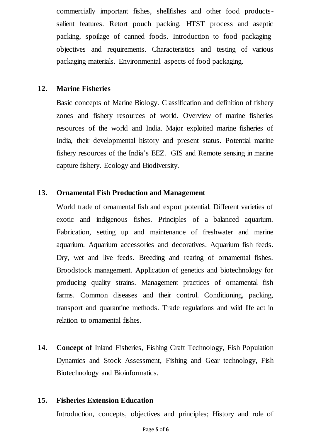commercially important fishes, shellfishes and other food productssalient features. Retort pouch packing, HTST process and aseptic packing, spoilage of canned foods. Introduction to food packagingobjectives and requirements. Characteristics and testing of various packaging materials. Environmental aspects of food packaging.

#### **12. Marine Fisheries**

Basic concepts of Marine Biology. Classification and definition of fishery zones and fishery resources of world. Overview of marine fisheries resources of the world and India. Major exploited marine fisheries of India, their developmental history and present status. Potential marine fishery resources of the India's EEZ. GIS and Remote sensing in marine capture fishery. Ecology and Biodiversity.

# **13. Ornamental Fish Production and Management**

World trade of ornamental fish and export potential. Different varieties of exotic and indigenous fishes. Principles of a balanced aquarium. Fabrication, setting up and maintenance of freshwater and marine aquarium. Aquarium accessories and decoratives. Aquarium fish feeds. Dry, wet and live feeds. Breeding and rearing of ornamental fishes. Broodstock management. Application of genetics and biotechnology for producing quality strains. Management practices of ornamental fish farms. Common diseases and their control. Conditioning, packing, transport and quarantine methods. Trade regulations and wild life act in relation to ornamental fishes.

**14. Concept of** Inland Fisheries, Fishing Craft Technology, Fish Population Dynamics and Stock Assessment, Fishing and Gear technology, Fish Biotechnology and Bioinformatics.

#### **15. Fisheries Extension Education**

Introduction, concepts, objectives and principles; History and role of